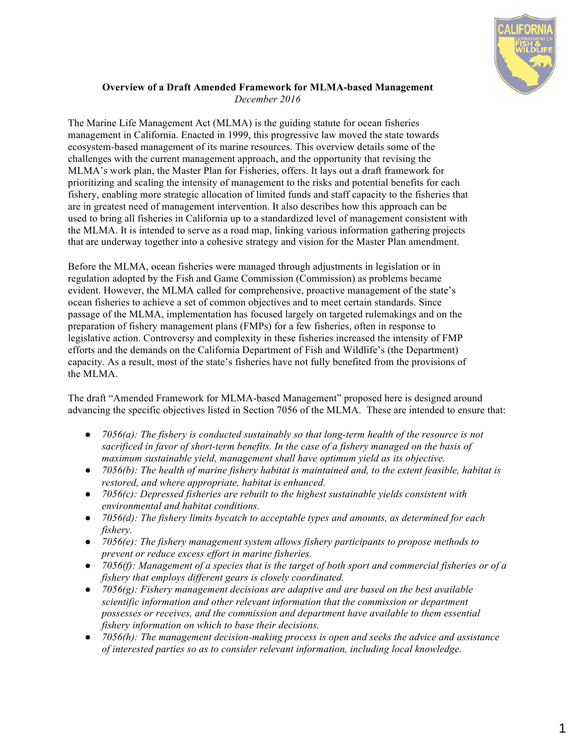

## **Overview of a Draft Amended Framework for MLMA-based Management** *December 2016*

The Marine Life Management Act (MLMA) is the guiding statute for ocean fisheries management in California. Enacted in 1999, this progressive law moved the state towards ecosystem-based management of its marine resources. This overview details some of the challenges with the current management approach, and the opportunity that revising the MLMA's work plan, the Master Plan for Fisheries, offers. It lays out a draft framework for prioritizing and scaling the intensity of management to the risks and potential benefits for each fishery, enabling more strategic allocation of limited funds and staff capacity to the fisheries that are in greatest need of management intervention. It also describes how this approach can be used to bring all fisheries in California up to a standardized level of management consistent with the MLMA. It is intended to serve as a road map, linking various information gathering projects that are underway together into a cohesive strategy and vision for the Master Plan amendment.

Before the MLMA, ocean fisheries were managed through adjustments in legislation or in regulation adopted by the Fish and Game Commission (Commission) as problems became evident. However, the MLMA called for comprehensive, proactive management of the state's ocean fisheries to achieve a set of common objectives and to meet certain standards. Since passage of the MLMA, implementation has focused largely on targeted rulemakings and on the preparation of fishery management plans (FMPs) for a few fisheries, often in response to legislative action. Controversy and complexity in these fisheries increased the intensity of FMP efforts and the demands on the California Department of Fish and Wildlife's (the Department) capacity. As a result, most of the state's fisheries have not fully benefited from the provisions of the MLMA.

The draft "Amended Framework for MLMA-based Management" proposed here is designed around advancing the specific objectives listed in Section 7056 of the MLMA. These are intended to ensure that:

- *7056(a): The fishery is conducted sustainably so that long-term health of the resource is not sacrificed in favor of short-term benefits. In the case of a fishery managed on the basis of maximum sustainable yield, management shall have optimum yield as its objective.*
- *7056(b): The health of marine fishery habitat is maintained and, to the extent feasible, habitat is restored, and where appropriate, habitat is enhanced.*
- *7056(c): Depressed fisheries are rebuilt to the highest sustainable yields consistent with environmental and habitat conditions.*
- *7056(d): The fishery limits bycatch to acceptable types and amounts, as determined for each fishery.*
- *7056(e): The fishery management system allows fishery participants to propose methods to prevent or reduce excess effort in marine fisheries.*
- *7056(f): Management of a species that is the target of both sport and commercial fisheries or of a fishery that employs different gears is closely coordinated.*
- *7056(g): Fishery management decisions are adaptive and are based on the best available scientific information and other relevant information that the commission or department possesses or receives, and the commission and department have available to them essential fishery information on which to base their decisions.*
- *7056(h): The management decision-making process is open and seeks the advice and assistance of interested parties so as to consider relevant information, including local knowledge.*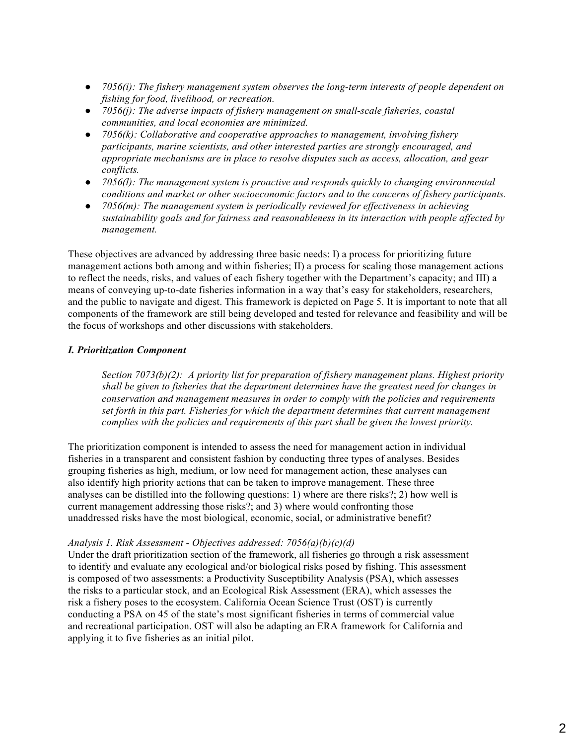- *7056(i): The fishery management system observes the long-term interests of people dependent on fishing for food, livelihood, or recreation.*
- *7056(j): The adverse impacts of fishery management on small-scale fisheries, coastal communities, and local economies are minimized.*
- *7056(k): Collaborative and cooperative approaches to management, involving fishery participants, marine scientists, and other interested parties are strongly encouraged, and appropriate mechanisms are in place to resolve disputes such as access, allocation, and gear conflicts.*
- *7056(l): The management system is proactive and responds quickly to changing environmental conditions and market or other socioeconomic factors and to the concerns of fishery participants.*
- *7056(m): The management system is periodically reviewed for effectiveness in achieving sustainability goals and for fairness and reasonableness in its interaction with people affected by management.*

These objectives are advanced by addressing three basic needs: I) a process for prioritizing future management actions both among and within fisheries; II) a process for scaling those management actions to reflect the needs, risks, and values of each fishery together with the Department's capacity; and III) a means of conveying up-to-date fisheries information in a way that's easy for stakeholders, researchers, and the public to navigate and digest. This framework is depicted on Page 5. It is important to note that all components of the framework are still being developed and tested for relevance and feasibility and will be the focus of workshops and other discussions with stakeholders.

## *I. Prioritization Component*

*Section 7073(b)(2): A priority list for preparation of fishery management plans. Highest priority shall be given to fisheries that the department determines have the greatest need for changes in conservation and management measures in order to comply with the policies and requirements set forth in this part. Fisheries for which the department determines that current management complies with the policies and requirements of this part shall be given the lowest priority.*

The prioritization component is intended to assess the need for management action in individual fisheries in a transparent and consistent fashion by conducting three types of analyses. Besides grouping fisheries as high, medium, or low need for management action, these analyses can also identify high priority actions that can be taken to improve management. These three analyses can be distilled into the following questions: 1) where are there risks?; 2) how well is current management addressing those risks?; and 3) where would confronting those unaddressed risks have the most biological, economic, social, or administrative benefit?

## *Analysis 1. Risk Assessment - Objectives addressed: 7056(a)(b)(c)(d)*

Under the draft prioritization section of the framework, all fisheries go through a risk assessment to identify and evaluate any ecological and/or biological risks posed by fishing. This assessment is composed of two assessments: a Productivity Susceptibility Analysis (PSA), which assesses the risks to a particular stock, and an Ecological Risk Assessment (ERA), which assesses the risk a fishery poses to the ecosystem. California Ocean Science Trust (OST) is currently conducting a PSA on 45 of the state's most significant fisheries in terms of commercial value and recreational participation. OST will also be adapting an ERA framework for California and applying it to five fisheries as an initial pilot.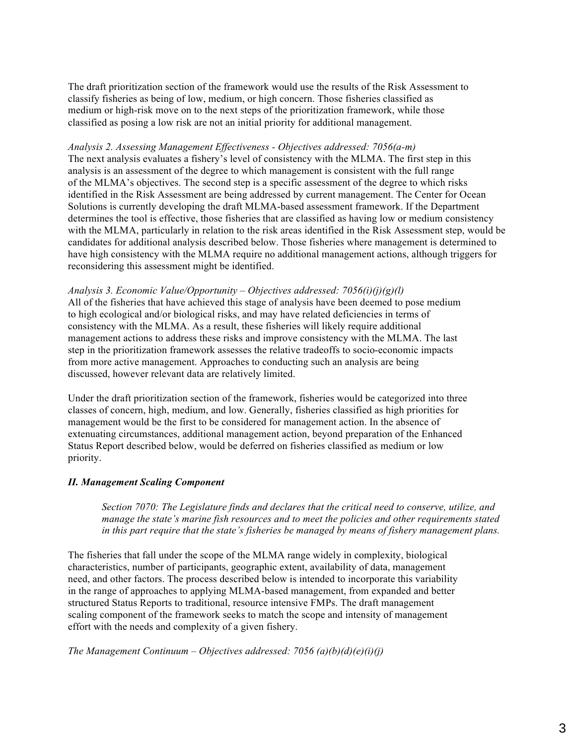The draft prioritization section of the framework would use the results of the Risk Assessment to classify fisheries as being of low, medium, or high concern. Those fisheries classified as medium or high-risk move on to the next steps of the prioritization framework, while those classified as posing a low risk are not an initial priority for additional management.

### *Analysis 2. Assessing Management Effectiveness - Objectives addressed: 7056(a-m)*

The next analysis evaluates a fishery's level of consistency with the MLMA. The first step in this analysis is an assessment of the degree to which management is consistent with the full range of the MLMA's objectives. The second step is a specific assessment of the degree to which risks identified in the Risk Assessment are being addressed by current management. The Center for Ocean Solutions is currently developing the draft MLMA-based assessment framework. If the Department determines the tool is effective, those fisheries that are classified as having low or medium consistency with the MLMA, particularly in relation to the risk areas identified in the Risk Assessment step, would be candidates for additional analysis described below. Those fisheries where management is determined to have high consistency with the MLMA require no additional management actions, although triggers for reconsidering this assessment might be identified.

*Analysis 3. Economic Value/Opportunity – Objectives addressed: 7056(i)(j)(g)(l)*  All of the fisheries that have achieved this stage of analysis have been deemed to pose medium to high ecological and/or biological risks, and may have related deficiencies in terms of consistency with the MLMA. As a result, these fisheries will likely require additional management actions to address these risks and improve consistency with the MLMA. The last step in the prioritization framework assesses the relative tradeoffs to socio-economic impacts from more active management. Approaches to conducting such an analysis are being discussed, however relevant data are relatively limited.

Under the draft prioritization section of the framework, fisheries would be categorized into three classes of concern, high, medium, and low. Generally, fisheries classified as high priorities for management would be the first to be considered for management action. In the absence of extenuating circumstances, additional management action, beyond preparation of the Enhanced Status Report described below, would be deferred on fisheries classified as medium or low priority.

## *II. Management Scaling Component*

*Section 7070: The Legislature finds and declares that the critical need to conserve, utilize, and manage the state's marine fish resources and to meet the policies and other requirements stated in this part require that the state's fisheries be managed by means of fishery management plans.*

The fisheries that fall under the scope of the MLMA range widely in complexity, biological characteristics, number of participants, geographic extent, availability of data, management need, and other factors. The process described below is intended to incorporate this variability in the range of approaches to applying MLMA-based management, from expanded and better structured Status Reports to traditional, resource intensive FMPs. The draft management scaling component of the framework seeks to match the scope and intensity of management effort with the needs and complexity of a given fishery.

*The Management Continuum – Objectives addressed: 7056 (a)(b)(d)(e)(i)(j)*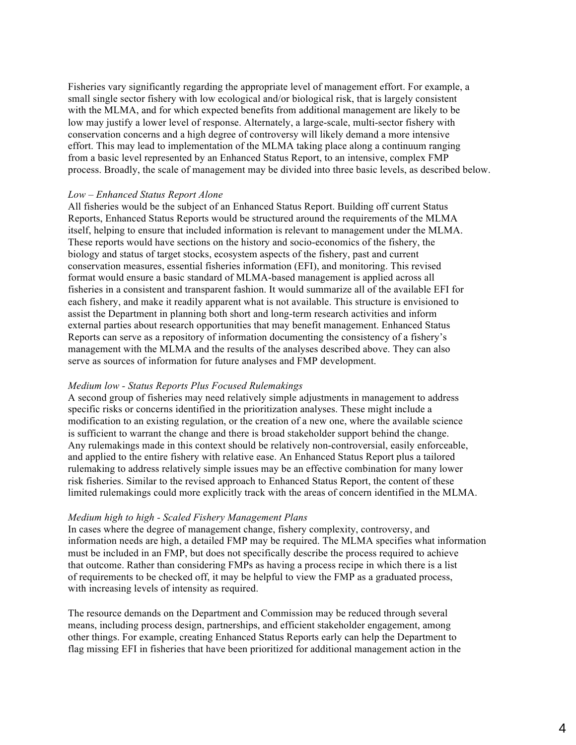Fisheries vary significantly regarding the appropriate level of management effort. For example, a small single sector fishery with low ecological and/or biological risk, that is largely consistent with the MLMA, and for which expected benefits from additional management are likely to be low may justify a lower level of response. Alternately, a large-scale, multi-sector fishery with conservation concerns and a high degree of controversy will likely demand a more intensive effort. This may lead to implementation of the MLMA taking place along a continuum ranging from a basic level represented by an Enhanced Status Report, to an intensive, complex FMP process. Broadly, the scale of management may be divided into three basic levels, as described below.

#### *Low – Enhanced Status Report Alone*

All fisheries would be the subject of an Enhanced Status Report. Building off current Status Reports, Enhanced Status Reports would be structured around the requirements of the MLMA itself, helping to ensure that included information is relevant to management under the MLMA. These reports would have sections on the history and socio-economics of the fishery, the biology and status of target stocks, ecosystem aspects of the fishery, past and current conservation measures, essential fisheries information (EFI), and monitoring. This revised format would ensure a basic standard of MLMA-based management is applied across all fisheries in a consistent and transparent fashion. It would summarize all of the available EFI for each fishery, and make it readily apparent what is not available. This structure is envisioned to assist the Department in planning both short and long-term research activities and inform external parties about research opportunities that may benefit management. Enhanced Status Reports can serve as a repository of information documenting the consistency of a fishery's management with the MLMA and the results of the analyses described above. They can also serve as sources of information for future analyses and FMP development.

## *Medium low - Status Reports Plus Focused Rulemakings*

A second group of fisheries may need relatively simple adjustments in management to address specific risks or concerns identified in the prioritization analyses. These might include a modification to an existing regulation, or the creation of a new one, where the available science is sufficient to warrant the change and there is broad stakeholder support behind the change. Any rulemakings made in this context should be relatively non-controversial, easily enforceable, and applied to the entire fishery with relative ease. An Enhanced Status Report plus a tailored rulemaking to address relatively simple issues may be an effective combination for many lower risk fisheries. Similar to the revised approach to Enhanced Status Report, the content of these limited rulemakings could more explicitly track with the areas of concern identified in the MLMA.

#### *Medium high to high - Scaled Fishery Management Plans*

In cases where the degree of management change, fishery complexity, controversy, and information needs are high, a detailed FMP may be required. The MLMA specifies what information must be included in an FMP, but does not specifically describe the process required to achieve that outcome. Rather than considering FMPs as having a process recipe in which there is a list of requirements to be checked off, it may be helpful to view the FMP as a graduated process, with increasing levels of intensity as required.

The resource demands on the Department and Commission may be reduced through several means, including process design, partnerships, and efficient stakeholder engagement, among other things. For example, creating Enhanced Status Reports early can help the Department to flag missing EFI in fisheries that have been prioritized for additional management action in the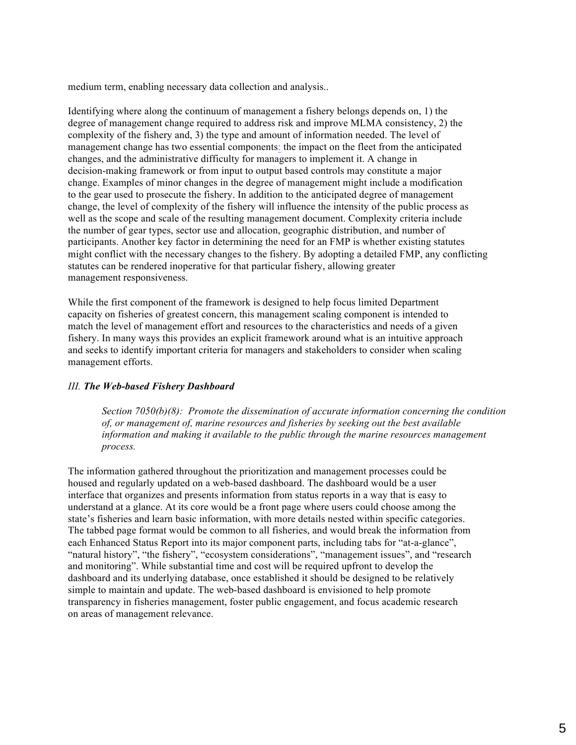medium term, enabling necessary data collection and analysis..

Identifying where along the continuum of management a fishery belongs depends on, 1) the degree of management change required to address risk and improve MLMA consistency, 2) the complexity of the fishery and, 3) the type and amount of information needed. The level of management change has two essential components: the impact on the fleet from the anticipated changes, and the administrative difficulty for managers to implement it. A change in decision-making framework or from input to output based controls may constitute a major change. Examples of minor changes in the degree of management might include a modification to the gear used to prosecute the fishery. In addition to the anticipated degree of management change, the level of complexity of the fishery will influence the intensity of the public process as well as the scope and scale of the resulting management document. Complexity criteria include the number of gear types, sector use and allocation, geographic distribution, and number of participants. Another key factor in determining the need for an FMP is whether existing statutes might conflict with the necessary changes to the fishery. By adopting a detailed FMP, any conflicting statutes can be rendered inoperative for that particular fishery, allowing greater management responsiveness.

While the first component of the framework is designed to help focus limited Department capacity on fisheries of greatest concern, this management scaling component is intended to match the level of management effort and resources to the characteristics and needs of a given fishery. In many ways this provides an explicit framework around what is an intuitive approach and seeks to identify important criteria for managers and stakeholders to consider when scaling management efforts.

## *III. The Web-based Fishery Dashboard*

*Section 7050(b)(8): Promote the dissemination of accurate information concerning the condition of, or management of, marine resources and fisheries by seeking out the best available information and making it available to the public through the marine resources management process.*

The information gathered throughout the prioritization and management processes could be housed and regularly updated on a web-based dashboard. The dashboard would be a user interface that organizes and presents information from status reports in a way that is easy to understand at a glance. At its core would be a front page where users could choose among the state's fisheries and learn basic information, with more details nested within specific categories. The tabbed page format would be common to all fisheries, and would break the information from each Enhanced Status Report into its major component parts, including tabs for "at-a-glance", "natural history", "the fishery", "ecosystem considerations", "management issues", and "research and monitoring". While substantial time and cost will be required upfront to develop the dashboard and its underlying database, once established it should be designed to be relatively simple to maintain and update. The web-based dashboard is envisioned to help promote transparency in fisheries management, foster public engagement, and focus academic research on areas of management relevance.